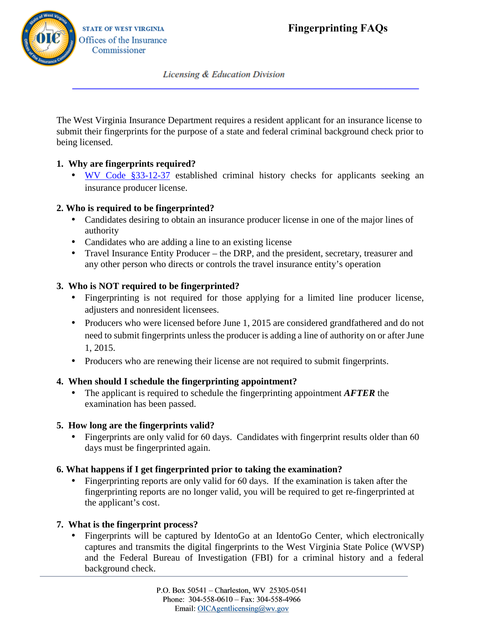

**Licensing & Education Division** 

The West Virginia Insurance Department requires a resident applicant for an insurance license to submit their fingerprints for the purpose of a state and federal criminal background check prior to being licensed.

## **1. Why are fingerprints required?**

 [WV Code §33-12](http://www.legis.state.wv.us/WVCODE/ChapterEntire.cfm?chap=33&art=12§ion=37)-37 established criminal history checks for applicants seeking an insurance producer license.

## **2. Who is required to be fingerprinted?**

- Candidates desiring to obtain an insurance producer license in one of the major lines of authority
- Candidates who are adding a line to an existing license
- Travel Insurance Entity Producer the DRP, and the president, secretary, treasurer and any other person who directs or controls the travel insurance entity's operation

# **3. Who is NOT required to be fingerprinted?**

- Fingerprinting is not required for those applying for a limited line producer license, adjusters and nonresident licensees.
- Producers who were licensed before June 1, 2015 are considered grandfathered and do not need to submit fingerprints unless the producer is adding a line of authority on or after June 1, 2015.
- Producers who are renewing their license are not required to submit fingerprints.

# **4. When should I schedule the fingerprinting appointment?**

 The applicant is required to schedule the fingerprinting appointment *AFTER* the examination has been passed. **4. When should I schedule the fingerprinting are defined** to schedule the fine examination has been passed.<br> **5. How long are the fingerprints valid?**<br> **5. How long are the fingerprints valid?**<br> **5. Fingerprints are only** 

days must be fingerprinted again. Fingerprints are only valid for 60 days. Candidates with fingerprint results older than 60

# **6. What happens if I get fingerprinted prior to taking the examination?**

fingerprinting reports are no longer valid, you will be required to get re-fingerprinted at the applicant's cost. Fingerprinting reports are only valid for 60 days. If the examination is taken after the

# **7. What is the fingerprint process?**

 Fingerprints will be captured by IdentoGo at an IdentoGo Center, which electronically captures and transmits the digital fingerprints to the West Virginia State Police (WVSP) and the Federal Bureau of Investigation (FBI) for a criminal history and a federal background check.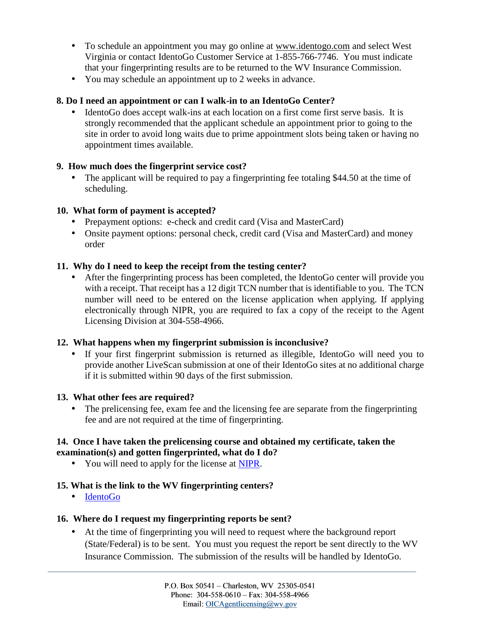- To schedule an appointment you may go online at [www.identogo.c](http://www.identogo.com/)om and select West Virginia or contact IdentoGo Customer Service at 1-855-766-7746. You must indicate that your fingerprinting results are to be returned to the WV Insurance Commission.
- You may schedule an appointment up to 2 weeks in advance.

#### **8. Do I need an appointment or can I walk-in to an IdentoGo Center?**

 IdentoGo does accept walk-ins at each location on a first come first serve basis. It is strongly recommended that the applicant schedule an appointment prior to going to the site in order to avoid long waits due to prime appointment slots being taken or having no appointment times available.

### **9. How much does the fingerprint service cost?**

 The applicant will be required to pay a fingerprinting fee totaling \$44.50 at the time of scheduling.

## **10. What form of payment is accepted?**

- Prepayment options: e-check and credit card (Visa and MasterCard)
- Onsite payment options: personal check, credit card (Visa and MasterCard) and money order

### **11. Why do I need to keep the receipt from the testing center?**

 After the fingerprinting process has been completed, the IdentoGo center will provide you with a receipt. That receipt has a 12 digit TCN number that is identifiable to you. The TCN number will need to be entered on the license application when applying. If applying electronically through NIPR, you are required to fax a copy of the receipt to the Agent Licensing Division at 304-558-4966.

#### **12. What happens when my fingerprint submission is inconclusive?**

 If your first fingerprint submission is returned as illegible, IdentoGo will need you to provide another LiveScan submission at one of their IdentoGo sites at no additional charge if it is submitted within 90 days of the first submission.

#### **13. What other fees are required?**

 The prelicensing fee, exam fee and the licensing fee are separate from the fingerprinting fee and are not required at the time of fingerprinting.

#### **14. Once I have taken the prelicensing course and obtained my certificate, taken the examination(s) and gotten fingerprinted, what do I do?**

You will need to apply for the licens[e at](http://www.nipr.com/index_authorized_business_partners.htm) NIPR.

# **15. What is the link to the WV fingerprinting centers?**

#### [Idento](http://www.identogo.com/)Go

## **16. Where do I request my fingerprinting reports be sent?**

 At the time of fingerprinting you will need to request where the background report (State/Federal) is to be sent. You must you request the report be sent directly to the WV Insurance Commission. The submission of the results will be handled by IdentoGo.